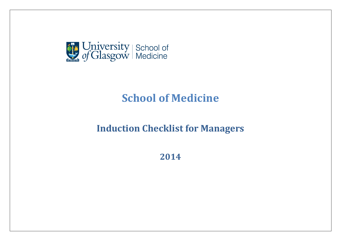

# **School of Medicine**

## **Induction Checklist for Managers**

**2014**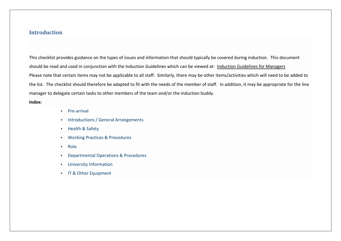## **Introduction**

This checklist provides guidance on the types of issues and information that should typically be covered during induction. This document should be read and used in conjunction with the Induction Guidelines which can be viewed at: [Induction Guidelines for Managers](http://www.gla.ac.uk/services/humanresources/policies/h-o/inductionguidelines/) Please note that certain items may not be applicable to all staff. Similarly, there may be other items/activities which will need to be added to the list. The checklist should therefore be adapted to fit with the needs of the member of staff. In addition, it may be appropriate for the line manager to delegate certain tasks to other members of the team and/or the induction buddy.

**Index:**

- **[Pre-arrival](http://www.gla.ac.uk/services/humanresources/policies/h-o/inductionguidelines/appendixa/#d.en.208376)**
- **[Introductions / General Arrangements](http://www.gla.ac.uk/services/humanresources/policies/h-o/inductionguidelines/appendixa/#d.en.208377)**
- **[Health & Safety](http://www.gla.ac.uk/services/humanresources/policies/h-o/inductionguidelines/appendixa/#d.en.208379)**
- **[Working Practices & Procedures](http://www.gla.ac.uk/services/humanresources/policies/h-o/inductionguidelines/appendixa/#d.en.208380)**
- [Role](http://www.gla.ac.uk/services/humanresources/policies/h-o/inductionguidelines/appendixa/#d.en.208381)
- **•** [Departmental Operations & Procedures](http://www.gla.ac.uk/services/humanresources/policies/h-o/inductionguidelines/appendixa/#d.en.208382)
- **-** [University Information](http://www.gla.ac.uk/services/humanresources/policies/h-o/inductionguidelines/appendixa/#d.en.208383)
- **[IT & Other Equipment](http://www.gla.ac.uk/services/humanresources/policies/h-o/inductionguidelines/appendixa/#d.en.208384)**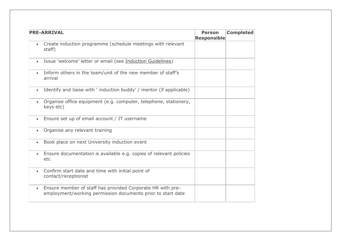| <b>PRE-ARRIVAL</b>                                                                                                                     | <b>Person</b><br>Responsible | <b>Completed</b> |
|----------------------------------------------------------------------------------------------------------------------------------------|------------------------------|------------------|
| Create induction programme (schedule meetings with relevant<br>$\bullet$<br>staff)                                                     |                              |                  |
| Issue 'welcome' letter or email (see Induction Guidelines)<br>$\bullet$                                                                |                              |                  |
| Inform others in the team/unit of the new member of staff's<br>$\bullet$<br>arrival                                                    |                              |                  |
| Identify and liaise with ' induction buddy' / mentor (if applicable)<br>$\bullet$                                                      |                              |                  |
| Organise office equipment (e.g. computer, telephone, stationery,<br>$\bullet$<br>keys etc)                                             |                              |                  |
| Ensure set up of email account / IT username<br>$\bullet$                                                                              |                              |                  |
| Organise any relevant training<br>$\bullet$                                                                                            |                              |                  |
| Book place on next University induction event<br>$\bullet$                                                                             |                              |                  |
| Ensure documentation is available e.g. copies of relevant policies<br>$\bullet$<br>etc                                                 |                              |                  |
| Confirm start date and time with initial point of<br>$\bullet$<br>contact/receptionist                                                 |                              |                  |
| Ensure member of staff has provided Corporate HR with pre-<br>$\bullet$<br>employment/working permission documents prior to start date |                              |                  |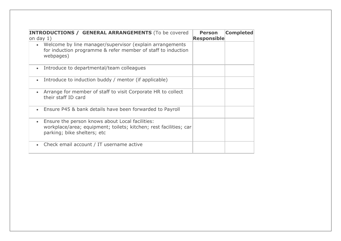| <b>INTRODUCTIONS / GENERAL ARRANGEMENTS (To be covered)</b><br>on day $1)$                                                                                       | <b>Person</b><br>Responsible | <b>Completed</b> |
|------------------------------------------------------------------------------------------------------------------------------------------------------------------|------------------------------|------------------|
| • Welcome by line manager/supervisor (explain arrangements<br>for induction programme & refer member of staff to induction<br>webpages)                          |                              |                  |
| Introduce to departmental/team colleagues<br>$\bullet$                                                                                                           |                              |                  |
| Introduce to induction buddy / mentor (if applicable)<br>$\bullet$                                                                                               |                              |                  |
| Arrange for member of staff to visit Corporate HR to collect<br>$\bullet$<br>their staff ID card                                                                 |                              |                  |
| Ensure P45 & bank details have been forwarded to Payroll<br>$\bullet$                                                                                            |                              |                  |
| Ensure the person knows about Local facilities:<br>$\bullet$<br>workplace/area; equipment; toilets; kitchen; rest facilities; car<br>parking; bike shelters; etc |                              |                  |
| Check email account / IT username active<br>$\bullet$                                                                                                            |                              |                  |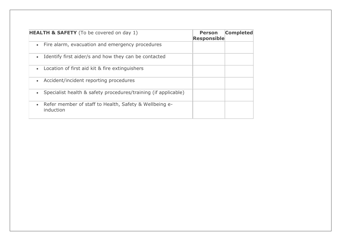| HEALTH & SAFETY (To be covered on day 1)                            | <b>Person</b><br><b>Responsible</b> | <b>Completed</b> |
|---------------------------------------------------------------------|-------------------------------------|------------------|
| Fire alarm, evacuation and emergency procedures<br>$\bullet$        |                                     |                  |
| Identify first aider/s and how they can be contacted<br>$\bullet$   |                                     |                  |
| • Location of first aid kit & fire extinguishers                    |                                     |                  |
| Accident/incident reporting procedures<br>$\bullet$                 |                                     |                  |
| Specialist health & safety procedures/training (if applicable)      |                                     |                  |
| Refer member of staff to Health, Safety & Wellbeing e-<br>induction |                                     |                  |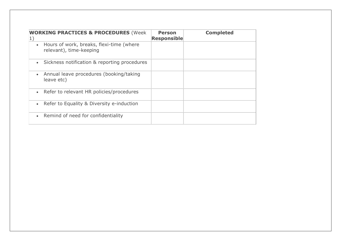| <b>WORKING PRACTICES &amp; PROCEDURES (Week)</b><br> 1)                          | <b>Person</b><br><b>Responsible</b> | <b>Completed</b> |
|----------------------------------------------------------------------------------|-------------------------------------|------------------|
| Hours of work, breaks, flexi-time (where<br>$\bullet$<br>relevant), time-keeping |                                     |                  |
| Sickness notification & reporting procedures<br>$\bullet$                        |                                     |                  |
| Annual leave procedures (booking/taking<br>$\bullet$<br>leave etc)               |                                     |                  |
| • Refer to relevant HR policies/procedures                                       |                                     |                  |
| Refer to Equality & Diversity e-induction<br>$\bullet$                           |                                     |                  |
| • Remind of need for confidentiality                                             |                                     |                  |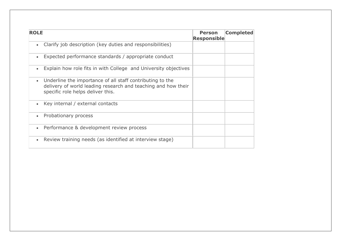| <b>ROLE</b>                                                                                                                                                                  | <b>Person</b><br><b>Responsible</b> | <b>Completed</b> |
|------------------------------------------------------------------------------------------------------------------------------------------------------------------------------|-------------------------------------|------------------|
| Clarify job description (key duties and responsibilities)<br>$\bullet$                                                                                                       |                                     |                  |
| Expected performance standards / appropriate conduct<br>$\bullet$                                                                                                            |                                     |                  |
| Explain how role fits in with College and University objectives<br>$\bullet$                                                                                                 |                                     |                  |
| Underline the importance of all staff contributing to the<br>$\bullet$<br>delivery of world leading research and teaching and how their<br>specific role helps deliver this. |                                     |                  |
| Key internal / external contacts<br>$\bullet$                                                                                                                                |                                     |                  |
| Probationary process<br>$\bullet$                                                                                                                                            |                                     |                  |
| Performance & development review process<br>$\bullet$                                                                                                                        |                                     |                  |
| Review training needs (as identified at interview stage)<br>$\bullet$                                                                                                        |                                     |                  |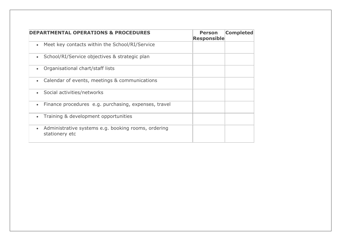| <b>DEPARTMENTAL OPERATIONS &amp; PROCEDURES</b>                       | <b>Completed</b><br><b>Person</b><br><b>Responsible</b> |
|-----------------------------------------------------------------------|---------------------------------------------------------|
| Meet key contacts within the School/RI/Service<br>$\bullet$           |                                                         |
| School/RI/Service objectives & strategic plan                         |                                                         |
| Organisational chart/staff lists                                      |                                                         |
| Calendar of events, meetings & communications<br>$\bullet$            |                                                         |
| Social activities/networks                                            |                                                         |
| Finance procedures e.g. purchasing, expenses, travel                  |                                                         |
| Training & development opportunities                                  |                                                         |
| Administrative systems e.g. booking rooms, ordering<br>stationery etc |                                                         |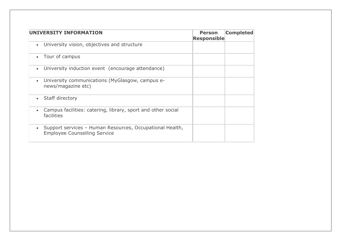| UNIVERSITY INFORMATION                                                                                       | <b>Person</b><br><b>Responsible</b> | Completed |
|--------------------------------------------------------------------------------------------------------------|-------------------------------------|-----------|
| University vision, objectives and structure<br>$\bullet$                                                     |                                     |           |
| Tour of campus<br>$\bullet$                                                                                  |                                     |           |
| University induction event (encourage attendance)<br>$\bullet$                                               |                                     |           |
| University communications (MyGlasgow, campus e-<br>$\bullet$<br>news/magazine etc)                           |                                     |           |
| <b>Staff directory</b><br>$\bullet$                                                                          |                                     |           |
| Campus facilities: catering, library, sport and other social<br>$\bullet$<br>facilities                      |                                     |           |
| Support services - Human Resources, Occupational Health,<br>$\bullet$<br><b>Employee Counselling Service</b> |                                     |           |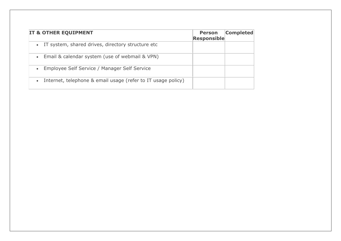| <b>IT &amp; OTHER EQUIPMENT</b>                                           | <b>Person</b><br><b>Responsible</b> | <b>Completed</b> |
|---------------------------------------------------------------------------|-------------------------------------|------------------|
| · IT system, shared drives, directory structure etc                       |                                     |                  |
| • Email & calendar system (use of webmail & VPN)                          |                                     |                  |
| Employee Self Service / Manager Self Service<br>$\bullet$                 |                                     |                  |
| Internet, telephone & email usage (refer to IT usage policy)<br>$\bullet$ |                                     |                  |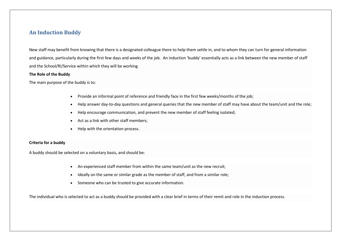## **An Induction Buddy**

New staff may benefit from knowing that there is a designated colleague there to help them settle in, and to whom they can turn for general information and guidance, particularly during the first few days and weeks of the job. An induction 'buddy' essentially acts as a link between the new member of staff and the School/RI/Service within which they will be working.

#### **The Role of the Buddy**

The main purpose of the buddy is to:

- Provide an informal point of reference and friendly face in the first few weeks/months of the job;
- Help answer day-to-day questions and general queries that the new member of staff may have about the team/unit and the role;
- Help encourage communication, and prevent the new member of staff feeling isolated;
- Act as a link with other staff members;
- Help with the orientation process.

#### **Criteria for a buddy**

A buddy should be selected on a voluntary basis, and should be:

- An experienced staff member from within the same team/unit as the new recruit;
- Ideally on the same or similar grade as the member of staff, and from a similar role;
- Someone who can be trusted to give accurate information.

The individual who is selected to act as a buddy should be provided with a clear brief in terms of their remit and role in the induction process.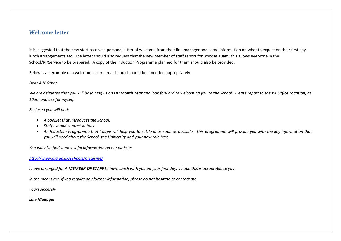## **Welcome letter**

It is suggested that the new start receive a personal letter of welcome from their line manager and some information on what to expect on their first day, lunch arrangements etc. The letter should also request that the new member of staff report for work at 10am; this allows everyone in the School/RI/Service to be prepared. A copy of the Induction Programme planned for them should also be provided.

Below is an example of a welcome letter, areas in bold should be amended appropriately:

#### *Dear A N Other*

*We are delighted that you will be joining us on DD Month Year and look forward to welcoming you to the School. Please report to the XX Office Location, at 10am and ask for myself.*

#### *Enclosed you will find:*

- *A booklet that introduces the School.*
- *Staff list and contact details.*
- *An Induction Programme that I hope will help you to settle in as soon as possible. This programme will provide you with the key information that you will need about the School, the University and your new role here.*

*You will also find some useful information on our website:*

### *<http://www.gla.ac.uk/schools/medicine/>*

*I have arranged for A MEMBER OF STAFF to have lunch with you on your first day. I hope this is acceptable to you.*

*In the meantime, if you require any further information, please do not hesitate to contact me.*

*Yours sincerely*

*Line Manager*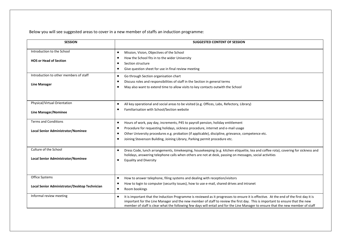Below you will see suggested areas to cover in a new member of staffs an induction programme:

| <b>SESSION</b>                                | <b>SUGGESTED CONTENT OF SESSION</b>                                                                                                                 |
|-----------------------------------------------|-----------------------------------------------------------------------------------------------------------------------------------------------------|
| Introduction to the School                    | Mission, Vision, Objectives of the School<br>$\bullet$                                                                                              |
|                                               | How the School fits in to the wider University<br>$\bullet$                                                                                         |
| <b>HOS or Head of Section</b>                 | Section structure                                                                                                                                   |
|                                               | Give question sheet for use in final review meeting<br>٠                                                                                            |
| Introduction to other members of staff        | Go through Section organisation chart<br>$\bullet$                                                                                                  |
|                                               | Discuss roles and responsibilities of staff in the Section in general terms<br>$\bullet$                                                            |
| <b>Line Manager</b>                           | May also want to extend time to allow visits to key contacts outwith the School<br>٠                                                                |
|                                               |                                                                                                                                                     |
| Physical/Virtual Orientation                  | All key operational and social areas to be visited (e.g. Offices, Labs, Refectory, Library)<br>$\bullet$                                            |
| <b>Line Manager/Nominee</b>                   | Familiarisation with School/Section website                                                                                                         |
|                                               |                                                                                                                                                     |
| <b>Terms and Conditions</b>                   | Hours of work, pay day, increments, P45 to payroll pension, holiday entitlement<br>$\bullet$                                                        |
|                                               | Procedure for requesting holidays, sickness procedure, internet and e-mail usage<br>$\bullet$                                                       |
| Local Senior Administrator/Nominee            | Other University procedures e.g. probation (if applicable), discipline, grievance, competence etc.<br>٠                                             |
|                                               | Joining Stevenson Building, Joining Library, Parking permit procedure etc.<br>٠                                                                     |
| Culture of the School                         | Dress Code, lunch arrangements, timekeeping, housekeeping (e.g. kitchen etiquette, tea and coffee rota), covering for sickness and<br>$\bullet$     |
| <b>Local Senior Administrator/Nominee</b>     | holidays, answering telephone calls when others are not at desk, passing on messages, social activities                                             |
|                                               | <b>Equality and Diversity</b><br>$\bullet$                                                                                                          |
|                                               |                                                                                                                                                     |
| Office Systems                                | How to answer telephone, filing systems and dealing with reception/visitors<br>$\bullet$                                                            |
|                                               | How to login to computer (security issues), how to use e-mail, shared drives and intranet<br>٠                                                      |
| Local Senior Administrator/Desktop Technician | Room bookings<br>$\bullet$                                                                                                                          |
| Informal review meeting                       | It is important that the Induction Programme is reviewed as it progresses to ensure it is effective. At the end of the first day it is<br>$\bullet$ |
|                                               | important for the Line Manager and the new member of staff to review the first day. This is important to ensure that the new                        |
|                                               | member of staff is clear what the following few days will entail and for the Line Manager to ensure that the new member of staff                    |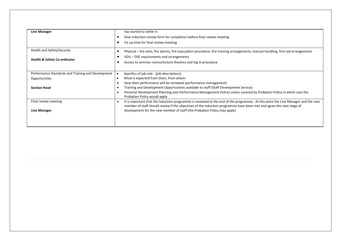| has started to settle in                                                                                                           |
|------------------------------------------------------------------------------------------------------------------------------------|
|                                                                                                                                    |
| Give induction review form for completion before final review meeting                                                              |
| Fix up time for final review meeting                                                                                               |
|                                                                                                                                    |
| Physical - fire exits, fire alarms, fire evacuation procedure, fire-training arrangements, manual handling, first-aid arrangements |
| VDU – DSE requirements and arrangements                                                                                            |
| Access to seminar rooms/lecture theatres and log in procedure                                                                      |
|                                                                                                                                    |
| Specifics of job role - (job descriptions)                                                                                         |
| What is expected from them, from whom                                                                                              |
| How their performance will be reviewed (performance management)                                                                    |
| Training and Development Opportunities available to staff (Staff Development Service)                                              |
| Personal Development Planning (see Performance Management Policy) unless covered by Probation Policy in which case the             |
| Probation Policy would apply                                                                                                       |
| It is important that the Induction programme is reviewed at the end of the programme. At this point the Line Manager and the new   |
| member of staff should review if the objectives of the Induction programme have been met and agree the next stage of               |
| development for the new member of staff (the Probation Policy may apply)                                                           |
|                                                                                                                                    |
|                                                                                                                                    |
|                                                                                                                                    |
|                                                                                                                                    |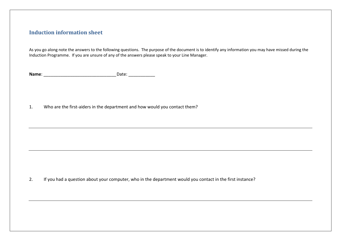## **Induction information sheet**

As you go along note the answers to the following questions. The purpose of the document is to identify any information you may have missed during the Induction Programme. If you are unsure of any of the answers please speak to your Line Manager.

**Name**: \_\_\_\_\_\_\_\_\_\_\_\_\_\_\_\_\_\_\_\_\_\_\_\_\_\_\_\_\_\_Date: \_\_\_\_\_\_\_\_\_\_\_

1. Who are the first-aiders in the department and how would you contact them?

2. If you had a question about your computer, who in the department would you contact in the first instance?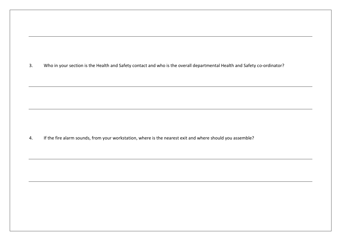3. Who in your section is the Health and Safety contact and who is the overall departmental Health and Safety co-ordinator?

4. If the fire alarm sounds, from your workstation, where is the nearest exit and where should you assemble?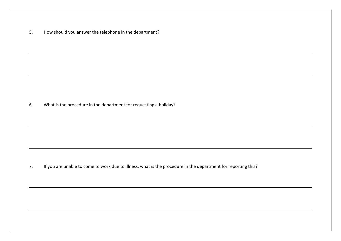| 5. | How should you answer the telephone in the department? |  |  |
|----|--------------------------------------------------------|--|--|
|----|--------------------------------------------------------|--|--|

6. What is the procedure in the department for requesting a holiday?

7. If you are unable to come to work due to illness, what is the procedure in the department for reporting this?